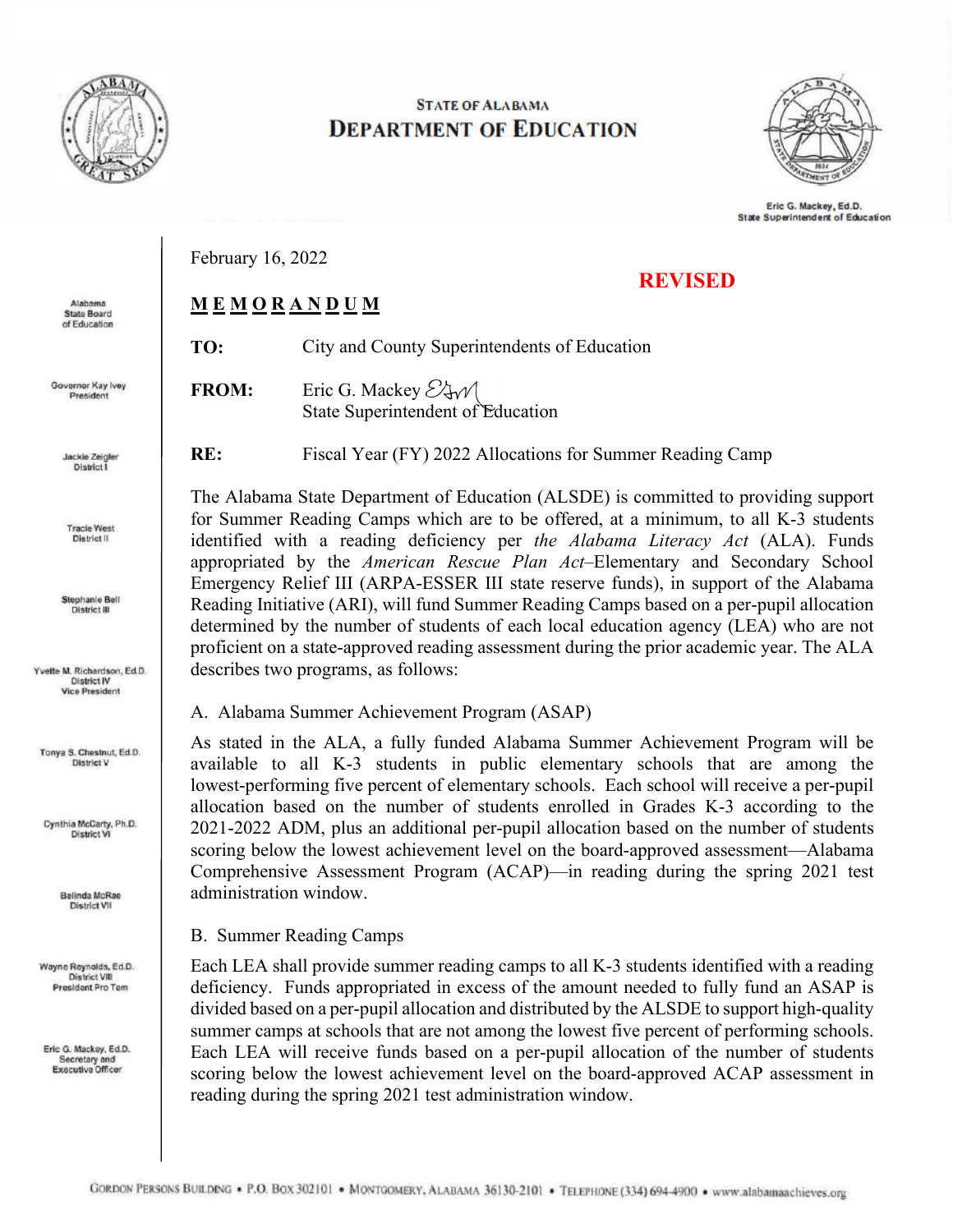

## **STATE OF ALABAMA DEPARTMENT OF EDUCATION**



Eric G. Mackey, Ed.D. **State Superintendent of Education** 

**REVISED**

February 16, 2022

## **M E M O R A N D U M**

| TO: | City and County Superintendents of Education |
|-----|----------------------------------------------|

**FROM:** Eric G. Mackey  $\mathcal{E}$  +  $\mathcal{A}$ State Superintendent of Education

**RE:** Fiscal Year (FY) 2022 Allocations for Summer Reading Camp

The Alabama State Department of Education (ALSDE) is committed to providing support for Summer Reading Camps which are to be offered, at a minimum, to all K-3 students identified with a reading deficiency per *the Alabama Literacy Act* (ALA). Funds appropriated by the *American Rescue Plan Act*–Elementary and Secondary School Emergency Relief III (ARPA-ESSER III state reserve funds), in support of the Alabama Reading Initiative (ARI), will fund Summer Reading Camps based on a per-pupil allocation determined by the number of students of each local education agency (LEA) who are not proficient on a state-approved reading assessment during the prior academic year. The ALA describes two programs, as follows:

A. Alabama Summer Achievement Program (ASAP)

As stated in the ALA, a fully funded Alabama Summer Achievement Program will be available to all K-3 students in public elementary schools that are among the lowest-performing five percent of elementary schools. Each school will receive a per-pupil allocation based on the number of students enrolled in Grades K-3 according to the 2021-2022 ADM, plus an additional per-pupil allocation based on the number of students scoring below the lowest achievement level on the board-approved assessment—Alabama Comprehensive Assessment Program (ACAP)—in reading during the spring 2021 test administration window.

## B. Summer Reading Camps

Each LEA shall provide summer reading camps to all K-3 students identified with a reading deficiency. Funds appropriated in excess of the amount needed to fully fund an ASAP is divided based on a per-pupil allocation and distributed by the ALSDE to support high-quality summer camps at schools that are not among the lowest five percent of performing schools. Each LEA will receive funds based on a per-pupil allocation of the number of students scoring below the lowest achievement level on the board-approved ACAP assessment in reading during the spring 2021 test administration window.

Alabama **State Board** of Education

Governor Kay Ivey President

> Jackie Zeigler District I

**Tracie West** District<sub>II</sub>

Stephanie Bell District III

Yvette M. Richardson, Ed.D. **District IV Vice President** 

Tonya S. Chestnut, Ed.D. District V

Cynthia McCarty, Ph.D. District VI

> Belinda McRae **District VII**

Wayne Reynolds, Ed.D. District VIII President Pro Tem

Eric G. Mackey, Ed.D. Secretary and<br>Executive Officer